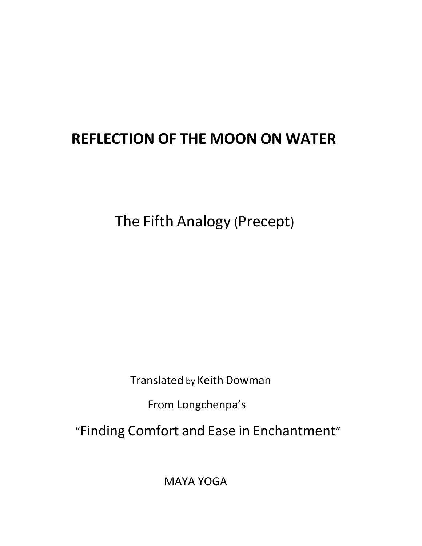## REFLECTION OF THE MOON ON WATER

The Fifth Analogy (Precept)

Translated by Keith Dowman

From Longchenpa's

"Finding Comfort and Ease in Enchantment"

MAYA YOGA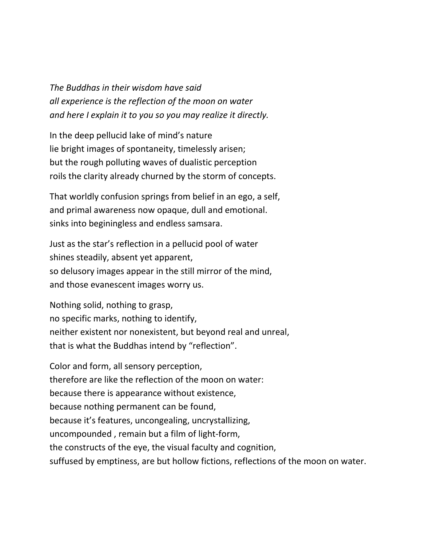The Buddhas in their wisdom have said all experience is the reflection of the moon on water and here I explain it to you so you may realize it directly.

In the deep pellucid lake of mind's nature lie bright images of spontaneity, timelessly arisen; but the rough polluting waves of dualistic perception roils the clarity already churned by the storm of concepts.

That worldly confusion springs from belief in an ego, a self, and primal awareness now opaque, dull and emotional. sinks into beginingless and endless samsara.

Just as the star's reflection in a pellucid pool of water shines steadily, absent yet apparent, so delusory images appear in the still mirror of the mind, and those evanescent images worry us.

Nothing solid, nothing to grasp, no specific marks, nothing to identify, neither existent nor nonexistent, but beyond real and unreal, that is what the Buddhas intend by "reflection".

Color and form, all sensory perception, therefore are like the reflection of the moon on water: because there is appearance without existence, because nothing permanent can be found, because it's features, uncongealing, uncrystallizing, uncompounded , remain but a film of light-form, the constructs of the eye, the visual faculty and cognition, suffused by emptiness, are but hollow fictions, reflections of the moon on water.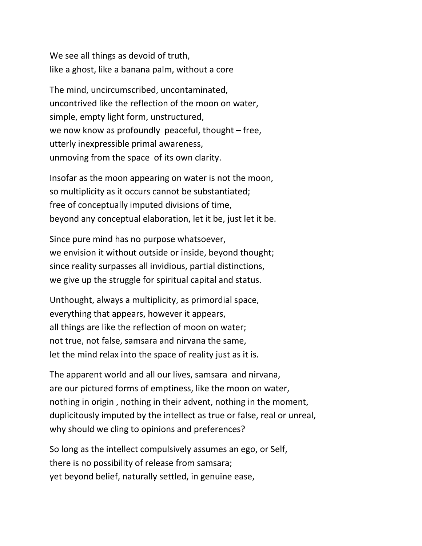We see all things as devoid of truth, like a ghost, like a banana palm, without a core

The mind, uncircumscribed, uncontaminated, uncontrived like the reflection of the moon on water, simple, empty light form, unstructured, we now know as profoundly peaceful, thought – free, utterly inexpressible primal awareness, unmoving from the space of its own clarity.

Insofar as the moon appearing on water is not the moon, so multiplicity as it occurs cannot be substantiated; free of conceptually imputed divisions of time, beyond any conceptual elaboration, let it be, just let it be.

Since pure mind has no purpose whatsoever, we envision it without outside or inside, beyond thought; since reality surpasses all invidious, partial distinctions, we give up the struggle for spiritual capital and status.

Unthought, always a multiplicity, as primordial space, everything that appears, however it appears, all things are like the reflection of moon on water; not true, not false, samsara and nirvana the same, let the mind relax into the space of reality just as it is.

The apparent world and all our lives, samsara and nirvana, are our pictured forms of emptiness, like the moon on water, nothing in origin , nothing in their advent, nothing in the moment, duplicitously imputed by the intellect as true or false, real or unreal, why should we cling to opinions and preferences?

So long as the intellect compulsively assumes an ego, or Self, there is no possibility of release from samsara; yet beyond belief, naturally settled, in genuine ease,